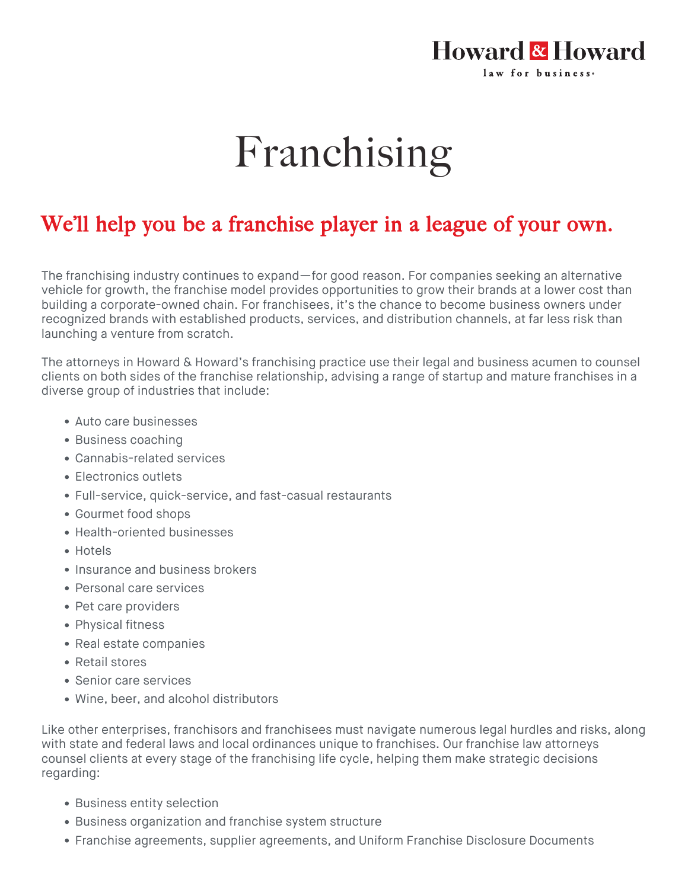## Howard & Howard law for business.

## Franchising

## We'll help you be a franchise player in a league of your own.

The franchising industry continues to expand—for good reason. For companies seeking an alternative vehicle for growth, the franchise model provides opportunities to grow their brands at a lower cost than building a corporate-owned chain. For franchisees, it's the chance to become business owners under recognized brands with established products, services, and distribution channels, at far less risk than launching a venture from scratch.

The attorneys in Howard & Howard's franchising practice use their legal and business acumen to counsel clients on both sides of the franchise relationship, advising a range of startup and mature franchises in a diverse group of industries that include:

- Auto care businesses
- Business coaching
- Cannabis-related services
- Electronics outlets
- Full-service, quick-service, and fast-casual restaurants
- Gourmet food shops
- Health-oriented businesses
- Hotels
- Insurance and business brokers
- Personal care services
- Pet care providers
- Physical fitness
- Real estate companies
- Retail stores
- Senior care services
- Wine, beer, and alcohol distributors

Like other enterprises, franchisors and franchisees must navigate numerous legal hurdles and risks, along with state and federal laws and local ordinances unique to franchises. Our franchise law attorneys counsel clients at every stage of the franchising life cycle, helping them make strategic decisions regarding:

- Business entity selection
- Business organization and franchise system structure
- Franchise agreements, supplier agreements, and Uniform Franchise Disclosure Documents